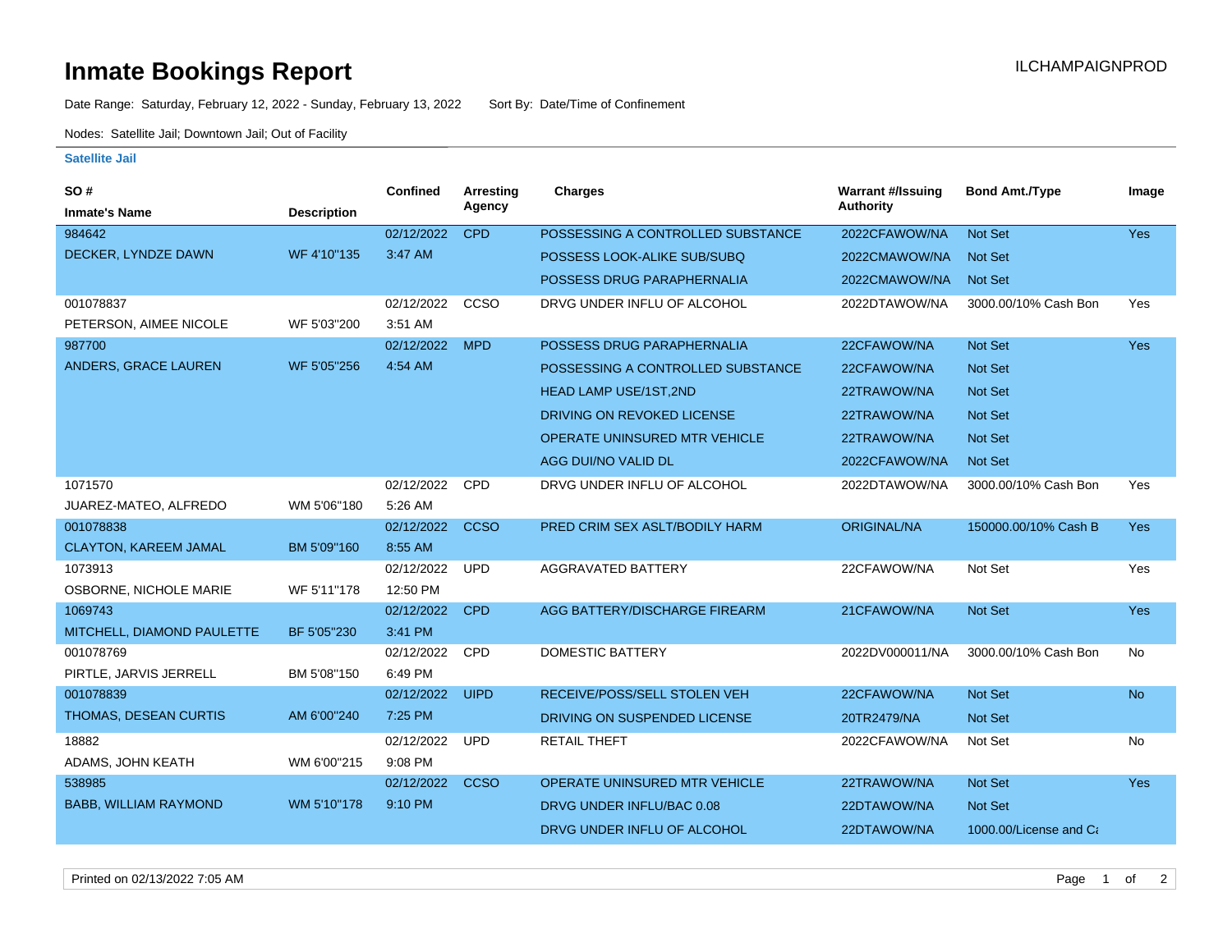## **Inmate Bookings Report Installation ILCHAMPAIGNPROD**

Date Range: Saturday, February 12, 2022 - Sunday, February 13, 2022 Sort By: Date/Time of Confinement

Nodes: Satellite Jail; Downtown Jail; Out of Facility

## **Satellite Jail**

| SO#                          |                    | <b>Confined</b> | Arresting   | <b>Charges</b>                       | <b>Warrant #/Issuing</b> | <b>Bond Amt./Type</b>  | Image      |
|------------------------------|--------------------|-----------------|-------------|--------------------------------------|--------------------------|------------------------|------------|
| <b>Inmate's Name</b>         | <b>Description</b> |                 | Agency      |                                      | <b>Authority</b>         |                        |            |
| 984642                       |                    | 02/12/2022      | <b>CPD</b>  | POSSESSING A CONTROLLED SUBSTANCE    | 2022CFAWOW/NA            | <b>Not Set</b>         | <b>Yes</b> |
| DECKER, LYNDZE DAWN          | WF 4'10"135        | 3:47 AM         |             | POSSESS LOOK-ALIKE SUB/SUBQ          | 2022CMAWOW/NA            | Not Set                |            |
|                              |                    |                 |             | POSSESS DRUG PARAPHERNALIA           | 2022CMAWOW/NA            | Not Set                |            |
| 001078837                    |                    | 02/12/2022      | CCSO        | DRVG UNDER INFLU OF ALCOHOL          | 2022DTAWOW/NA            | 3000.00/10% Cash Bon   | Yes        |
| PETERSON, AIMEE NICOLE       | WF 5'03"200        | 3:51 AM         |             |                                      |                          |                        |            |
| 987700                       |                    | 02/12/2022      | <b>MPD</b>  | POSSESS DRUG PARAPHERNALIA           | 22CFAWOW/NA              | <b>Not Set</b>         | Yes        |
| ANDERS, GRACE LAUREN         | WF 5'05"256        | 4:54 AM         |             | POSSESSING A CONTROLLED SUBSTANCE    | 22CFAWOW/NA              | <b>Not Set</b>         |            |
|                              |                    |                 |             | <b>HEAD LAMP USE/1ST,2ND</b>         | 22TRAWOW/NA              | Not Set                |            |
|                              |                    |                 |             | DRIVING ON REVOKED LICENSE           | 22TRAWOW/NA              | Not Set                |            |
|                              |                    |                 |             | <b>OPERATE UNINSURED MTR VEHICLE</b> | 22TRAWOW/NA              | Not Set                |            |
|                              |                    |                 |             | AGG DUI/NO VALID DL                  | 2022CFAWOW/NA            | Not Set                |            |
| 1071570                      |                    | 02/12/2022      | <b>CPD</b>  | DRVG UNDER INFLU OF ALCOHOL          | 2022DTAWOW/NA            | 3000.00/10% Cash Bon   | Yes        |
| JUAREZ-MATEO, ALFREDO        | WM 5'06"180        | 5:26 AM         |             |                                      |                          |                        |            |
| 001078838                    |                    | 02/12/2022      | <b>CCSO</b> | PRED CRIM SEX ASLT/BODILY HARM       | <b>ORIGINAL/NA</b>       | 150000.00/10% Cash B   | Yes        |
| <b>CLAYTON, KAREEM JAMAL</b> | BM 5'09"160        | 8:55 AM         |             |                                      |                          |                        |            |
| 1073913                      |                    | 02/12/2022      | <b>UPD</b>  | AGGRAVATED BATTERY                   | 22CFAWOW/NA              | Not Set                | Yes        |
| OSBORNE, NICHOLE MARIE       | WF 5'11"178        | 12:50 PM        |             |                                      |                          |                        |            |
| 1069743                      |                    | 02/12/2022      | <b>CPD</b>  | AGG BATTERY/DISCHARGE FIREARM        | 21CFAWOW/NA              | Not Set                | <b>Yes</b> |
| MITCHELL, DIAMOND PAULETTE   | BF 5'05"230        | 3:41 PM         |             |                                      |                          |                        |            |
| 001078769                    |                    | 02/12/2022      | CPD         | <b>DOMESTIC BATTERY</b>              | 2022DV000011/NA          | 3000.00/10% Cash Bon   | No         |
| PIRTLE, JARVIS JERRELL       | BM 5'08"150        | 6:49 PM         |             |                                      |                          |                        |            |
| 001078839                    |                    | 02/12/2022      | <b>UIPD</b> | RECEIVE/POSS/SELL STOLEN VEH         | 22CFAWOW/NA              | Not Set                | <b>No</b>  |
| THOMAS, DESEAN CURTIS        | AM 6'00"240        | 7:25 PM         |             | DRIVING ON SUSPENDED LICENSE         | 20TR2479/NA              | <b>Not Set</b>         |            |
| 18882                        |                    | 02/12/2022      | <b>UPD</b>  | <b>RETAIL THEFT</b>                  | 2022CFAWOW/NA            | Not Set                | No         |
| ADAMS, JOHN KEATH            | WM 6'00"215        | 9:08 PM         |             |                                      |                          |                        |            |
| 538985                       |                    | 02/12/2022      | <b>CCSO</b> | <b>OPERATE UNINSURED MTR VEHICLE</b> | 22TRAWOW/NA              | Not Set                | Yes        |
| <b>BABB, WILLIAM RAYMOND</b> | WM 5'10"178        | 9:10 PM         |             | DRVG UNDER INFLU/BAC 0.08            | 22DTAWOW/NA              | Not Set                |            |
|                              |                    |                 |             | DRVG UNDER INFLU OF ALCOHOL          | 22DTAWOW/NA              | 1000.00/License and Ca |            |